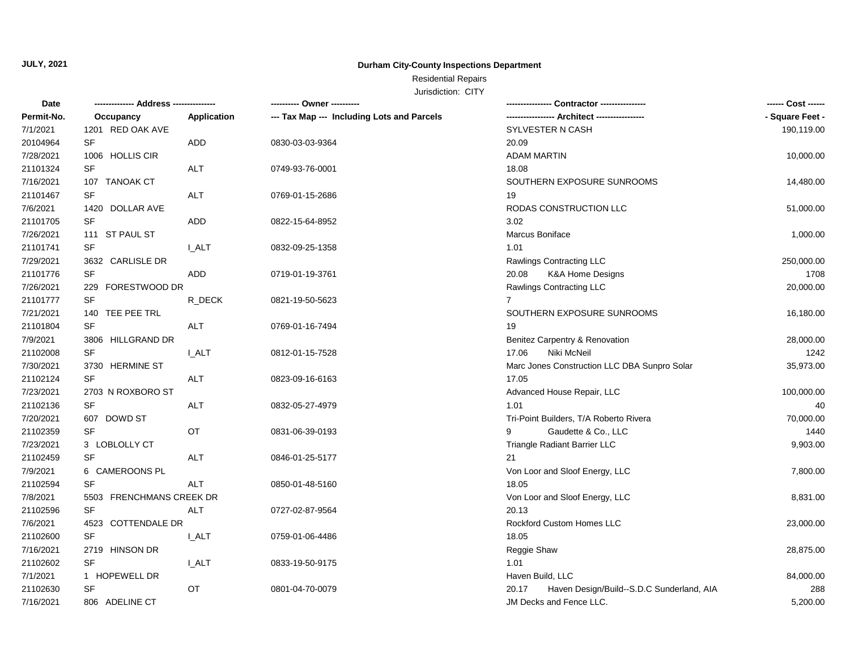## **Durham City-County Inspections Department**

# Residential Repairs

| Date       | -------------- Address --------------- |              | ---------- Owner ----------                |                                                    | ------ Cost ------ |
|------------|----------------------------------------|--------------|--------------------------------------------|----------------------------------------------------|--------------------|
| Permit-No. | Occupancy                              | Application  | --- Tax Map --- Including Lots and Parcels | --- Architect ---                                  | - Square Feet -    |
| 7/1/2021   | 1201 RED OAK AVE                       |              |                                            | <b>SYLVESTER N CASH</b>                            | 190,119.00         |
| 20104964   | SF                                     | ADD          | 0830-03-03-9364                            | 20.09                                              |                    |
| 7/28/2021  | 1006 HOLLIS CIR                        |              |                                            | <b>ADAM MARTIN</b>                                 | 10,000.00          |
| 21101324   | <b>SF</b>                              | <b>ALT</b>   | 0749-93-76-0001                            | 18.08                                              |                    |
| 7/16/2021  | 107 TANOAK CT                          |              |                                            | SOUTHERN EXPOSURE SUNROOMS                         | 14,480.00          |
| 21101467   | <b>SF</b>                              | <b>ALT</b>   | 0769-01-15-2686                            | 19                                                 |                    |
| 7/6/2021   | 1420 DOLLAR AVE                        |              |                                            | RODAS CONSTRUCTION LLC                             | 51,000.00          |
| 21101705   | <b>SF</b>                              | ADD          | 0822-15-64-8952                            | 3.02                                               |                    |
| 7/26/2021  | 111 ST PAUL ST                         |              |                                            | Marcus Boniface                                    | 1,000.00           |
| 21101741   | <b>SF</b>                              | <b>I_ALT</b> | 0832-09-25-1358                            | 1.01                                               |                    |
| 7/29/2021  | 3632 CARLISLE DR                       |              |                                            | Rawlings Contracting LLC                           | 250,000.00         |
| 21101776   | <b>SF</b>                              | <b>ADD</b>   | 0719-01-19-3761                            | K&A Home Designs<br>20.08                          | 1708               |
| 7/26/2021  | FORESTWOOD DR<br>229                   |              |                                            | Rawlings Contracting LLC                           | 20,000.00          |
| 21101777   | <b>SF</b>                              | R_DECK       | 0821-19-50-5623                            | $\overline{7}$                                     |                    |
| 7/21/2021  | 140 TEE PEE TRL                        |              |                                            | SOUTHERN EXPOSURE SUNROOMS                         | 16,180.00          |
| 21101804   | <b>SF</b>                              | ALT          | 0769-01-16-7494                            | 19                                                 |                    |
| 7/9/2021   | 3806 HILLGRAND DR                      |              |                                            | Benitez Carpentry & Renovation                     | 28,000.00          |
| 21102008   | SF                                     | <b>I_ALT</b> | 0812-01-15-7528                            | Niki McNeil<br>17.06                               | 1242               |
| 7/30/2021  | 3730 HERMINE ST                        |              |                                            | Marc Jones Construction LLC DBA Sunpro Solar       | 35,973.00          |
| 21102124   | <b>SF</b>                              | <b>ALT</b>   | 0823-09-16-6163                            | 17.05                                              |                    |
| 7/23/2021  | 2703 N ROXBORO ST                      |              |                                            | Advanced House Repair, LLC                         | 100,000.00         |
| 21102136   | <b>SF</b>                              | <b>ALT</b>   | 0832-05-27-4979                            | 1.01                                               | 40                 |
| 7/20/2021  | 607 DOWD ST                            |              |                                            | Tri-Point Builders, T/A Roberto Rivera             | 70,000.00          |
| 21102359   | <b>SF</b>                              | OT           | 0831-06-39-0193                            | Gaudette & Co., LLC<br>9                           | 1440               |
| 7/23/2021  | 3 LOBLOLLY CT                          |              |                                            | Triangle Radiant Barrier LLC                       | 9,903.00           |
| 21102459   | <b>SF</b>                              | <b>ALT</b>   | 0846-01-25-5177                            | 21                                                 |                    |
| 7/9/2021   | 6 CAMEROONS PL                         |              |                                            | Von Loor and Sloof Energy, LLC                     | 7,800.00           |
| 21102594   | <b>SF</b>                              | <b>ALT</b>   | 0850-01-48-5160                            | 18.05                                              |                    |
| 7/8/2021   | 5503 FRENCHMANS CREEK DR               |              |                                            | Von Loor and Sloof Energy, LLC                     | 8,831.00           |
| 21102596   | <b>SF</b>                              | <b>ALT</b>   | 0727-02-87-9564                            | 20.13                                              |                    |
| 7/6/2021   | 4523 COTTENDALE DR                     |              |                                            | Rockford Custom Homes LLC                          | 23,000.00          |
| 21102600   | <b>SF</b>                              | <b>I_ALT</b> | 0759-01-06-4486                            | 18.05                                              |                    |
| 7/16/2021  | 2719 HINSON DR                         |              |                                            | Reggie Shaw                                        | 28,875.00          |
| 21102602   | <b>SF</b>                              | <b>I_ALT</b> | 0833-19-50-9175                            | 1.01                                               |                    |
| 7/1/2021   | 1 HOPEWELL DR                          |              |                                            | Haven Build, LLC                                   | 84,000.00          |
| 21102630   | <b>SF</b>                              | OT           | 0801-04-70-0079                            | Haven Design/Build--S.D.C Sunderland, AIA<br>20.17 | 288                |
| 7/16/2021  | 806 ADELINE CT                         |              |                                            | JM Decks and Fence LLC.                            | 5,200.00           |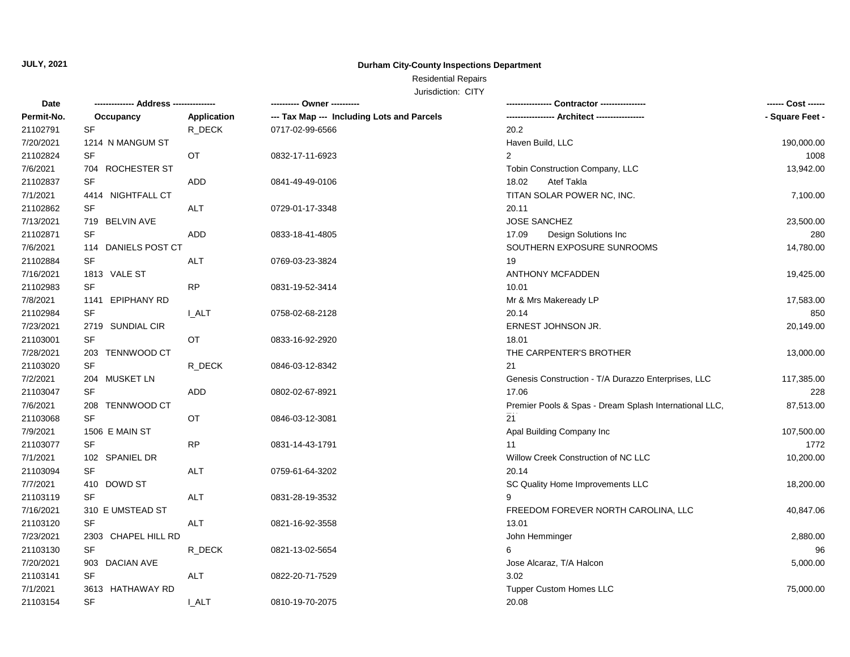## **Durham City-County Inspections Department**

### Residential Repairs

| Date       | -------------- Address --- |              | JUISUILIUII. UIII                          |                                                        | ------ Cost ------ |
|------------|----------------------------|--------------|--------------------------------------------|--------------------------------------------------------|--------------------|
| Permit-No. | Occupancy                  | Application  | --- Tax Map --- Including Lots and Parcels |                                                        | - Square Feet -    |
| 21102791   | <b>SF</b>                  | R_DECK       | 0717-02-99-6566                            | 20.2                                                   |                    |
| 7/20/2021  | 1214 N MANGUM ST           |              |                                            | Haven Build, LLC                                       | 190,000.00         |
| 21102824   | <b>SF</b>                  | OT           | 0832-17-11-6923                            | $\overline{2}$                                         | 1008               |
| 7/6/2021   | 704 ROCHESTER ST           |              |                                            | Tobin Construction Company, LLC                        | 13,942.00          |
| 21102837   | <b>SF</b>                  | ADD          | 0841-49-49-0106                            | 18.02<br>Atef Takla                                    |                    |
| 7/1/2021   | 4414 NIGHTFALL CT          |              |                                            | TITAN SOLAR POWER NC, INC.                             | 7,100.00           |
| 21102862   | <b>SF</b>                  | <b>ALT</b>   | 0729-01-17-3348                            | 20.11                                                  |                    |
| 7/13/2021  | 719 BELVIN AVE             |              |                                            | <b>JOSE SANCHEZ</b>                                    | 23,500.00          |
| 21102871   | <b>SF</b>                  | <b>ADD</b>   | 0833-18-41-4805                            | 17.09<br>Design Solutions Inc                          | 280                |
| 7/6/2021   | 114 DANIELS POST CT        |              |                                            | SOUTHERN EXPOSURE SUNROOMS                             | 14,780.00          |
| 21102884   | SF                         | <b>ALT</b>   | 0769-03-23-3824                            | 19                                                     |                    |
| 7/16/2021  | 1813 VALE ST               |              |                                            | <b>ANTHONY MCFADDEN</b>                                | 19,425.00          |
| 21102983   | <b>SF</b>                  | <b>RP</b>    | 0831-19-52-3414                            | 10.01                                                  |                    |
| 7/8/2021   | 1141 EPIPHANY RD           |              |                                            | Mr & Mrs Makeready LP                                  | 17,583.00          |
| 21102984   | <b>SF</b>                  | <b>I_ALT</b> | 0758-02-68-2128                            | 20.14                                                  | 850                |
| 7/23/2021  | 2719 SUNDIAL CIR           |              |                                            | ERNEST JOHNSON JR.                                     | 20,149.00          |
| 21103001   | <b>SF</b>                  | OT           | 0833-16-92-2920                            | 18.01                                                  |                    |
| 7/28/2021  | 203 TENNWOOD CT            |              |                                            | THE CARPENTER'S BROTHER                                | 13,000.00          |
| 21103020   | <b>SF</b>                  | R_DECK       | 0846-03-12-8342                            | 21                                                     |                    |
| 7/2/2021   | 204 MUSKET LN              |              |                                            | Genesis Construction - T/A Durazzo Enterprises, LLC    | 117,385.00         |
| 21103047   | <b>SF</b>                  | <b>ADD</b>   | 0802-02-67-8921                            | 17.06                                                  | 228                |
| 7/6/2021   | 208 TENNWOOD CT            |              |                                            | Premier Pools & Spas - Dream Splash International LLC, | 87,513.00          |
| 21103068   | <b>SF</b>                  | OT           | 0846-03-12-3081                            | 21                                                     |                    |
| 7/9/2021   | 1506 E MAIN ST             |              |                                            | Apal Building Company Inc                              | 107,500.00         |
| 21103077   | SF                         | <b>RP</b>    | 0831-14-43-1791                            | 11                                                     | 1772               |
| 7/1/2021   | 102 SPANIEL DR             |              |                                            | Willow Creek Construction of NC LLC                    | 10,200.00          |
| 21103094   | <b>SF</b>                  | <b>ALT</b>   | 0759-61-64-3202                            | 20.14                                                  |                    |
| 7/7/2021   | 410 DOWD ST                |              |                                            | SC Quality Home Improvements LLC                       | 18,200.00          |
| 21103119   | <b>SF</b>                  | <b>ALT</b>   | 0831-28-19-3532                            | 9                                                      |                    |
| 7/16/2021  | 310 E UMSTEAD ST           |              |                                            | FREEDOM FOREVER NORTH CAROLINA, LLC                    | 40,847.06          |
| 21103120   | <b>SF</b>                  | <b>ALT</b>   | 0821-16-92-3558                            | 13.01                                                  |                    |
| 7/23/2021  | 2303 CHAPEL HILL RD        |              |                                            | John Hemminger                                         | 2,880.00           |
| 21103130   | <b>SF</b>                  | R_DECK       | 0821-13-02-5654                            | 6                                                      | 96                 |
| 7/20/2021  | 903 DACIAN AVE             |              |                                            | Jose Alcaraz, T/A Halcon                               | 5,000.00           |
| 21103141   | <b>SF</b>                  | <b>ALT</b>   | 0822-20-71-7529                            | 3.02                                                   |                    |
| 7/1/2021   | 3613 HATHAWAY RD           |              |                                            | <b>Tupper Custom Homes LLC</b>                         | 75,000.00          |
| 21103154   | <b>SF</b>                  | <b>LALT</b>  | 0810-19-70-2075                            | 20.08                                                  |                    |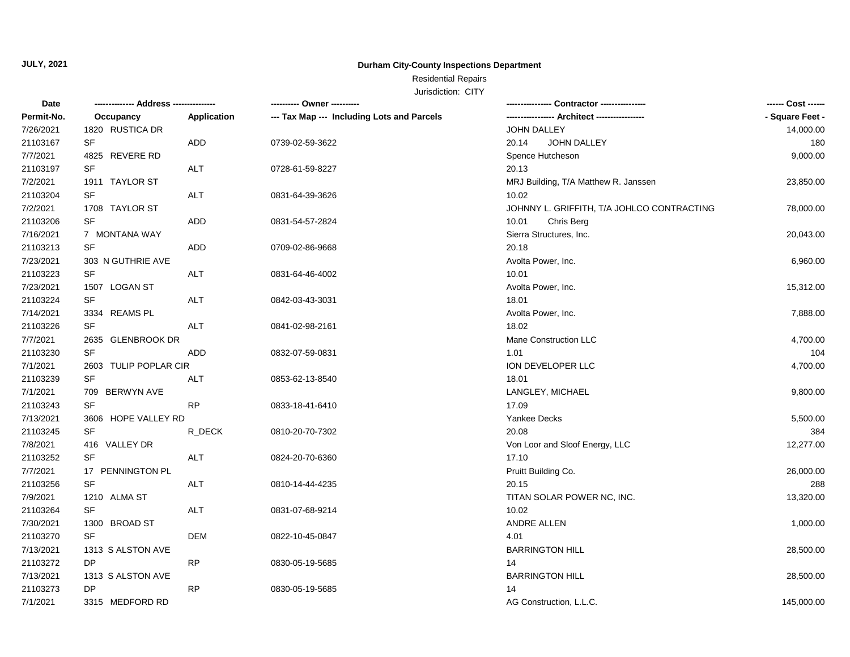## **Durham City-County Inspections Department**

# Residential Repairs

| Date       |                       |             | ---------- Owner ----------                |                                            | ------ Cost ------ |
|------------|-----------------------|-------------|--------------------------------------------|--------------------------------------------|--------------------|
| Permit-No. | Occupancy             | Application | --- Tax Map --- Including Lots and Parcels |                                            | - Square Feet -    |
| 7/26/2021  | 1820 RUSTICA DR       |             |                                            | JOHN DALLEY                                | 14,000.00          |
| 21103167   | <b>SF</b>             | ADD         | 0739-02-59-3622                            | 20.14<br>JOHN DALLEY                       | 180                |
| 7/7/2021   | 4825 REVERE RD        |             |                                            | Spence Hutcheson                           | 9,000.00           |
| 21103197   | SF                    | <b>ALT</b>  | 0728-61-59-8227                            | 20.13                                      |                    |
| 7/2/2021   | 1911 TAYLOR ST        |             |                                            | MRJ Building, T/A Matthew R. Janssen       | 23,850.00          |
| 21103204   | SF                    | <b>ALT</b>  | 0831-64-39-3626                            | 10.02                                      |                    |
| 7/2/2021   | 1708 TAYLOR ST        |             |                                            | JOHNNY L. GRIFFITH, T/A JOHLCO CONTRACTING | 78,000.00          |
| 21103206   | SF                    | ADD         | 0831-54-57-2824                            | 10.01<br>Chris Berg                        |                    |
| 7/16/2021  | 7 MONTANA WAY         |             |                                            | Sierra Structures, Inc.                    | 20,043.00          |
| 21103213   | SF                    | ADD         | 0709-02-86-9668                            | 20.18                                      |                    |
| 7/23/2021  | 303 N GUTHRIE AVE     |             |                                            | Avolta Power, Inc.                         | 6,960.00           |
| 21103223   | SF                    | <b>ALT</b>  | 0831-64-46-4002                            | 10.01                                      |                    |
| 7/23/2021  | 1507 LOGAN ST         |             |                                            | Avolta Power, Inc.                         | 15,312.00          |
| 21103224   | SF                    | ALT         | 0842-03-43-3031                            | 18.01                                      |                    |
| 7/14/2021  | 3334 REAMS PL         |             |                                            | Avolta Power, Inc.                         | 7,888.00           |
| 21103226   | SF                    | ALT         | 0841-02-98-2161                            | 18.02                                      |                    |
| 7/7/2021   | 2635 GLENBROOK DR     |             |                                            | Mane Construction LLC                      | 4,700.00           |
| 21103230   | SF                    | ADD         | 0832-07-59-0831                            | 1.01                                       | 104                |
| 7/1/2021   | 2603 TULIP POPLAR CIR |             |                                            | ION DEVELOPER LLC                          | 4,700.00           |
| 21103239   | SF                    | ALT         | 0853-62-13-8540                            | 18.01                                      |                    |
| 7/1/2021   | 709 BERWYN AVE        |             |                                            | LANGLEY, MICHAEL                           | 9,800.00           |
| 21103243   | <b>SF</b>             | <b>RP</b>   | 0833-18-41-6410                            | 17.09                                      |                    |
| 7/13/2021  | 3606 HOPE VALLEY RD   |             |                                            | <b>Yankee Decks</b>                        | 5,500.00           |
| 21103245   | SF                    | R_DECK      | 0810-20-70-7302                            | 20.08                                      | 384                |
| 7/8/2021   | 416 VALLEY DR         |             |                                            | Von Loor and Sloof Energy, LLC             | 12,277.00          |
| 21103252   | <b>SF</b>             | <b>ALT</b>  | 0824-20-70-6360                            | 17.10                                      |                    |
| 7/7/2021   | 17 PENNINGTON PL      |             |                                            | Pruitt Building Co.                        | 26,000.00          |
| 21103256   | <b>SF</b>             | <b>ALT</b>  | 0810-14-44-4235                            | 20.15                                      | 288                |
| 7/9/2021   | 1210 ALMA ST          |             |                                            | TITAN SOLAR POWER NC, INC.                 | 13,320.00          |
| 21103264   | SF                    | ALT         | 0831-07-68-9214                            | 10.02                                      |                    |
| 7/30/2021  | 1300 BROAD ST         |             |                                            | ANDRE ALLEN                                | 1,000.00           |
| 21103270   | <b>SF</b>             | <b>DEM</b>  | 0822-10-45-0847                            | 4.01                                       |                    |
| 7/13/2021  | 1313 S ALSTON AVE     |             |                                            | <b>BARRINGTON HILL</b>                     | 28,500.00          |
| 21103272   | <b>DP</b>             | <b>RP</b>   | 0830-05-19-5685                            | 14                                         |                    |
| 7/13/2021  | 1313 S ALSTON AVE     |             |                                            | <b>BARRINGTON HILL</b>                     | 28,500.00          |
| 21103273   | DP                    | <b>RP</b>   | 0830-05-19-5685                            | 14                                         |                    |
| 7/1/2021   | 3315 MEDFORD RD       |             |                                            | AG Construction, L.L.C.                    | 145,000.00         |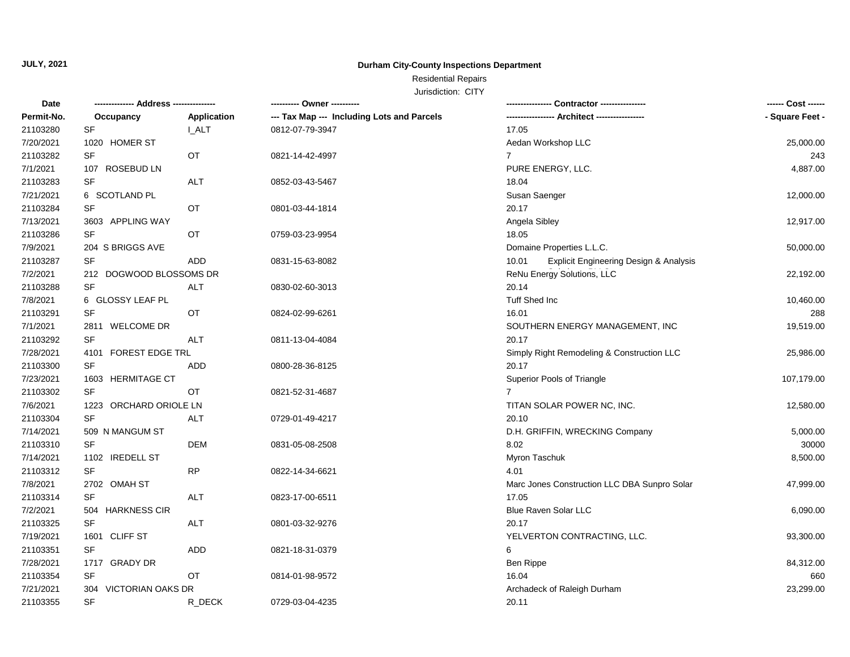## **Durham City-County Inspections Department**

## Residential Repairs

| <b>Date</b> | ------------- Address --------------- |             |                                            |                                                 | ------ Cost ------ |
|-------------|---------------------------------------|-------------|--------------------------------------------|-------------------------------------------------|--------------------|
| Permit-No.  | Occupancy                             | Application | --- Tax Map --- Including Lots and Parcels |                                                 | - Square Feet -    |
| 21103280    | SF                                    | I ALT       | 0812-07-79-3947                            | 17.05                                           |                    |
| 7/20/2021   | 1020 HOMER ST                         |             |                                            | Aedan Workshop LLC                              | 25,000.00          |
| 21103282    | SF                                    | OT          | 0821-14-42-4997                            | $\overline{7}$                                  | 243                |
| 7/1/2021    | 107 ROSEBUD LN                        |             |                                            | PURE ENERGY, LLC.                               | 4,887.00           |
| 21103283    | <b>SF</b>                             | <b>ALT</b>  | 0852-03-43-5467                            | 18.04                                           |                    |
| 7/21/2021   | 6 SCOTLAND PL                         |             |                                            | Susan Saenger                                   | 12,000.00          |
| 21103284    | SF                                    | OT          | 0801-03-44-1814                            | 20.17                                           |                    |
| 7/13/2021   | 3603 APPLING WAY                      |             |                                            | Angela Sibley                                   | 12,917.00          |
| 21103286    | <b>SF</b>                             | OT          | 0759-03-23-9954                            | 18.05                                           |                    |
| 7/9/2021    | 204 S BRIGGS AVE                      |             |                                            | Domaine Properties L.L.C.                       | 50,000.00          |
| 21103287    | <b>SF</b>                             | ADD         | 0831-15-63-8082                            | Explicit Engineering Design & Analysis<br>10.01 |                    |
| 7/2/2021    | 212 DOGWOOD BLOSSOMS DR               |             |                                            | ReNu Energy Solutions, LLC                      | 22,192.00          |
| 21103288    | SF                                    | <b>ALT</b>  | 0830-02-60-3013                            | 20.14                                           |                    |
| 7/8/2021    | 6 GLOSSY LEAF PL                      |             |                                            | Tuff Shed Inc                                   | 10,460.00          |
| 21103291    | SF                                    | OT          | 0824-02-99-6261                            | 16.01                                           | 288                |
| 7/1/2021    | 2811 WELCOME DR                       |             |                                            | SOUTHERN ENERGY MANAGEMENT, INC                 | 19,519.00          |
| 21103292    | SF                                    | <b>ALT</b>  | 0811-13-04-4084                            | 20.17                                           |                    |
| 7/28/2021   | 4101 FOREST EDGE TRL                  |             |                                            | Simply Right Remodeling & Construction LLC      | 25,986.00          |
| 21103300    | SF                                    | ADD         | 0800-28-36-8125                            | 20.17                                           |                    |
| 7/23/2021   | 1603 HERMITAGE CT                     |             |                                            | Superior Pools of Triangle                      | 107,179.00         |
| 21103302    | <b>SF</b>                             | <b>OT</b>   | 0821-52-31-4687                            | $\overline{7}$                                  |                    |
| 7/6/2021    | 1223 ORCHARD ORIOLE LN                |             |                                            | TITAN SOLAR POWER NC, INC.                      | 12,580.00          |
| 21103304    | <b>SF</b>                             | <b>ALT</b>  | 0729-01-49-4217                            | 20.10                                           |                    |
| 7/14/2021   | 509 N MANGUM ST                       |             |                                            | D.H. GRIFFIN, WRECKING Company                  | 5,000.00           |
| 21103310    | SF                                    | <b>DEM</b>  | 0831-05-08-2508                            | 8.02                                            | 30000              |
| 7/14/2021   | 1102 IREDELL ST                       |             |                                            | Myron Taschuk                                   | 8,500.00           |
| 21103312    | SF                                    | <b>RP</b>   | 0822-14-34-6621                            | 4.01                                            |                    |
| 7/8/2021    | 2702 OMAH ST                          |             |                                            | Marc Jones Construction LLC DBA Sunpro Solar    | 47,999.00          |
| 21103314    | SF                                    | <b>ALT</b>  | 0823-17-00-6511                            | 17.05                                           |                    |
| 7/2/2021    | 504 HARKNESS CIR                      |             |                                            | Blue Raven Solar LLC                            | 6,090.00           |
| 21103325    | SF                                    | ALT         | 0801-03-32-9276                            | 20.17                                           |                    |
| 7/19/2021   | 1601 CLIFF ST                         |             |                                            | YELVERTON CONTRACTING, LLC.                     | 93,300.00          |
| 21103351    | SF                                    | ADD         | 0821-18-31-0379                            | 6                                               |                    |
| 7/28/2021   | 1717 GRADY DR                         |             |                                            | Ben Rippe                                       | 84,312.00          |
| 21103354    | SF                                    | OT          | 0814-01-98-9572                            | 16.04                                           | 660                |
| 7/21/2021   | 304 VICTORIAN OAKS DR                 |             |                                            | Archadeck of Raleigh Durham                     | 23,299.00          |
| 21103355    | SF                                    | R DECK      | 0729-03-04-4235                            | 20.11                                           |                    |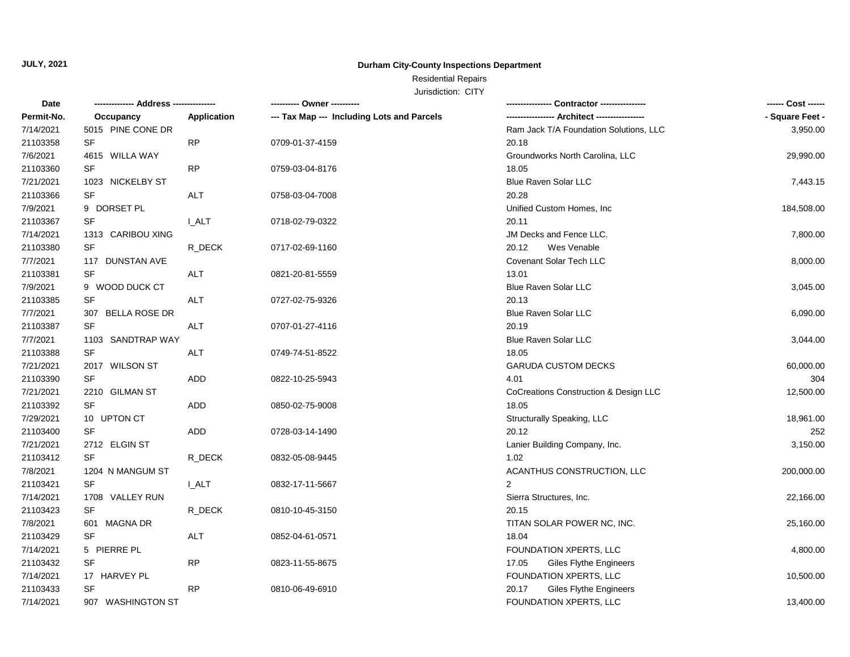## **Durham City-County Inspections Department**

# Residential Repairs

| Date       |                             |              | ---------- Owner ----------                |                                             |                 |
|------------|-----------------------------|--------------|--------------------------------------------|---------------------------------------------|-----------------|
| Permit-No. | Occupancy                   | Application  | --- Tax Map --- Including Lots and Parcels | ---------------- Architect ---------------- | - Square Feet - |
| 7/14/2021  | 5015 PINE CONE DR           |              |                                            | Ram Jack T/A Foundation Solutions, LLC      | 3,950.00        |
| 21103358   | SF                          | <b>RP</b>    | 0709-01-37-4159                            | 20.18                                       |                 |
| 7/6/2021   | 4615 WILLA WAY              |              |                                            | Groundworks North Carolina, LLC             | 29,990.00       |
| 21103360   | SF                          | <b>RP</b>    | 0759-03-04-8176                            | 18.05                                       |                 |
| 7/21/2021  | 1023 NICKELBY ST            |              |                                            | <b>Blue Raven Solar LLC</b>                 | 7,443.15        |
| 21103366   | SF                          | <b>ALT</b>   | 0758-03-04-7008                            | 20.28                                       |                 |
| 7/9/2021   | 9 DORSET PL                 |              |                                            | Unified Custom Homes, Inc.                  | 184,508.00      |
| 21103367   | SF                          | <b>I_ALT</b> | 0718-02-79-0322                            | 20.11                                       |                 |
| 7/14/2021  | 1313 CARIBOU XING           |              |                                            | JM Decks and Fence LLC.                     | 7,800.00        |
| 21103380   | SF                          | R_DECK       | 0717-02-69-1160                            | 20.12<br>Wes Venable                        |                 |
| 7/7/2021   | 117 DUNSTAN AVE             |              |                                            | <b>Covenant Solar Tech LLC</b>              | 8,000.00        |
| 21103381   | SF                          | ALT          | 0821-20-81-5559                            | 13.01                                       |                 |
| 7/9/2021   | 9 WOOD DUCK CT              |              |                                            | <b>Blue Raven Solar LLC</b>                 | 3,045.00        |
| 21103385   | SF                          | <b>ALT</b>   | 0727-02-75-9326                            | 20.13                                       |                 |
| 7/7/2021   | <b>BELLA ROSE DR</b><br>307 |              |                                            | Blue Raven Solar LLC                        | 6,090.00        |
| 21103387   | SF                          | ALT          | 0707-01-27-4116                            | 20.19                                       |                 |
| 7/7/2021   | 1103 SANDTRAP WAY           |              |                                            | <b>Blue Raven Solar LLC</b>                 | 3,044.00        |
| 21103388   | SF                          | ALT          | 0749-74-51-8522                            | 18.05                                       |                 |
| 7/21/2021  | 2017 WILSON ST              |              |                                            | <b>GARUDA CUSTOM DECKS</b>                  | 60,000.00       |
| 21103390   | SF                          | ADD          | 0822-10-25-5943                            | 4.01                                        | 304             |
| 7/21/2021  | 2210 GILMAN ST              |              |                                            | CoCreations Construction & Design LLC       | 12,500.00       |
| 21103392   | SF                          | ADD          | 0850-02-75-9008                            | 18.05                                       |                 |
| 7/29/2021  | 10 UPTON CT                 |              |                                            | Structurally Speaking, LLC                  | 18,961.00       |
| 21103400   | <b>SF</b>                   | ADD          | 0728-03-14-1490                            | 20.12                                       | 252             |
| 7/21/2021  | 2712 ELGIN ST               |              |                                            | Lanier Building Company, Inc.               | 3,150.00        |
| 21103412   | <b>SF</b>                   | R_DECK       | 0832-05-08-9445                            | 1.02                                        |                 |
| 7/8/2021   | 1204 N MANGUM ST            |              |                                            | ACANTHUS CONSTRUCTION, LLC                  | 200,000.00      |
| 21103421   | SF                          | <b>I_ALT</b> | 0832-17-11-5667                            | $\overline{2}$                              |                 |
| 7/14/2021  | 1708 VALLEY RUN             |              |                                            | Sierra Structures, Inc.                     | 22,166.00       |
| 21103423   | SF                          | R_DECK       | 0810-10-45-3150                            | 20.15                                       |                 |
| 7/8/2021   | 601<br>MAGNA DR             |              |                                            | TITAN SOLAR POWER NC, INC.                  | 25,160.00       |
| 21103429   | SF                          | ALT          | 0852-04-61-0571                            | 18.04                                       |                 |
| 7/14/2021  | 5 PIERRE PL                 |              |                                            | FOUNDATION XPERTS, LLC                      | 4,800.00        |
| 21103432   | SF                          | <b>RP</b>    | 0823-11-55-8675                            | 17.05<br><b>Giles Flythe Engineers</b>      |                 |
| 7/14/2021  | 17 HARVEY PL                |              |                                            | FOUNDATION XPERTS, LLC                      | 10,500.00       |
| 21103433   | <b>SF</b>                   | <b>RP</b>    | 0810-06-49-6910                            | 20.17<br><b>Giles Flythe Engineers</b>      |                 |
| 7/14/2021  | 907 WASHINGTON ST           |              |                                            | FOUNDATION XPERTS, LLC                      | 13,400.00       |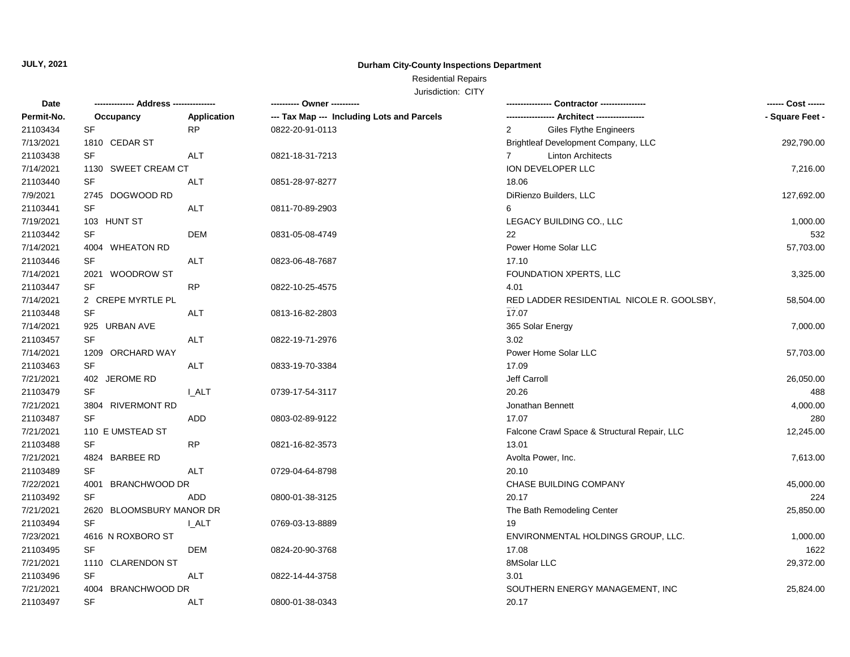## **Durham City-County Inspections Department**

# Residential Repairs

| Date       | ------------- Address --------------- |                    | ---------- Owner ----------                |                                              | ------ Cost ------ |
|------------|---------------------------------------|--------------------|--------------------------------------------|----------------------------------------------|--------------------|
| Permit-No. | Occupancy                             | <b>Application</b> | --- Tax Map --- Including Lots and Parcels |                                              | - Square Feet -    |
| 21103434   | SF                                    | <b>RP</b>          | 0822-20-91-0113                            | Giles Flythe Engineers<br>$\overline{2}$     |                    |
| 7/13/2021  | 1810 CEDAR ST                         |                    |                                            | Brightleaf Development Company, LLC          | 292,790.00         |
| 21103438   | <b>SF</b>                             | <b>ALT</b>         | 0821-18-31-7213                            | $\overline{7}$<br><b>Linton Architects</b>   |                    |
| 7/14/2021  | 1130 SWEET CREAM CT                   |                    |                                            | ION DEVELOPER LLC                            | 7,216.00           |
| 21103440   | SF                                    | <b>ALT</b>         | 0851-28-97-8277                            | 18.06                                        |                    |
| 7/9/2021   | 2745 DOGWOOD RD                       |                    |                                            | DiRienzo Builders, LLC                       | 127,692.00         |
| 21103441   | <b>SF</b>                             | <b>ALT</b>         | 0811-70-89-2903                            | 6                                            |                    |
| 7/19/2021  | 103 HUNT ST                           |                    |                                            | LEGACY BUILDING CO., LLC                     | 1,000.00           |
| 21103442   | SF                                    | <b>DEM</b>         | 0831-05-08-4749                            | 22                                           | 532                |
| 7/14/2021  | 4004 WHEATON RD                       |                    |                                            | Power Home Solar LLC                         | 57,703.00          |
| 21103446   | SF                                    | ALT                | 0823-06-48-7687                            | 17.10                                        |                    |
| 7/14/2021  | 2021 WOODROW ST                       |                    |                                            | FOUNDATION XPERTS, LLC                       | 3,325.00           |
| 21103447   | <b>SF</b>                             | <b>RP</b>          | 0822-10-25-4575                            | 4.01                                         |                    |
| 7/14/2021  | 2 CREPE MYRTLE PL                     |                    |                                            | RED LADDER RESIDENTIAL NICOLE R. GOOLSBY,    | 58,504.00          |
| 21103448   | SF                                    | <b>ALT</b>         | 0813-16-82-2803                            | 17.07                                        |                    |
| 7/14/2021  | 925 URBAN AVE                         |                    |                                            | 365 Solar Energy                             | 7,000.00           |
| 21103457   | SF                                    | <b>ALT</b>         | 0822-19-71-2976                            | 3.02                                         |                    |
| 7/14/2021  | 1209 ORCHARD WAY                      |                    |                                            | Power Home Solar LLC                         | 57,703.00          |
| 21103463   | <b>SF</b>                             | <b>ALT</b>         | 0833-19-70-3384                            | 17.09                                        |                    |
| 7/21/2021  | 402 JEROME RD                         |                    |                                            | Jeff Carroll                                 | 26,050.00          |
| 21103479   | SF                                    | I ALT              | 0739-17-54-3117                            | 20.26                                        | 488                |
| 7/21/2021  | 3804 RIVERMONT RD                     |                    |                                            | Jonathan Bennett                             | 4,000.00           |
| 21103487   | <b>SF</b>                             | <b>ADD</b>         | 0803-02-89-9122                            | 17.07                                        | 280                |
| 7/21/2021  | 110 E UMSTEAD ST                      |                    |                                            | Falcone Crawl Space & Structural Repair, LLC | 12,245.00          |
| 21103488   | SF                                    | <b>RP</b>          | 0821-16-82-3573                            | 13.01                                        |                    |
| 7/21/2021  | 4824 BARBEE RD                        |                    |                                            | Avolta Power, Inc.                           | 7,613.00           |
| 21103489   | <b>SF</b>                             | ALT                | 0729-04-64-8798                            | 20.10                                        |                    |
| 7/22/2021  | 4001 BRANCHWOOD DR                    |                    |                                            | CHASE BUILDING COMPANY                       | 45,000.00          |
| 21103492   | <b>SF</b>                             | <b>ADD</b>         | 0800-01-38-3125                            | 20.17                                        | 224                |
| 7/21/2021  | 2620 BLOOMSBURY MANOR DR              |                    |                                            | The Bath Remodeling Center                   | 25,850.00          |
| 21103494   | SF                                    | <b>LALT</b>        | 0769-03-13-8889                            | 19                                           |                    |
| 7/23/2021  | 4616 N ROXBORO ST                     |                    |                                            | ENVIRONMENTAL HOLDINGS GROUP, LLC.           | 1,000.00           |
| 21103495   | SF                                    | DEM                | 0824-20-90-3768                            | 17.08                                        | 1622               |
| 7/21/2021  | 1110 CLARENDON ST                     |                    |                                            | 8MSolar LLC                                  | 29,372.00          |
| 21103496   | SF                                    | <b>ALT</b>         | 0822-14-44-3758                            | 3.01                                         |                    |
| 7/21/2021  | 4004 BRANCHWOOD DR                    |                    |                                            | SOUTHERN ENERGY MANAGEMENT, INC              | 25,824.00          |
| 21103497   | SF                                    | ALT                | 0800-01-38-0343                            | 20.17                                        |                    |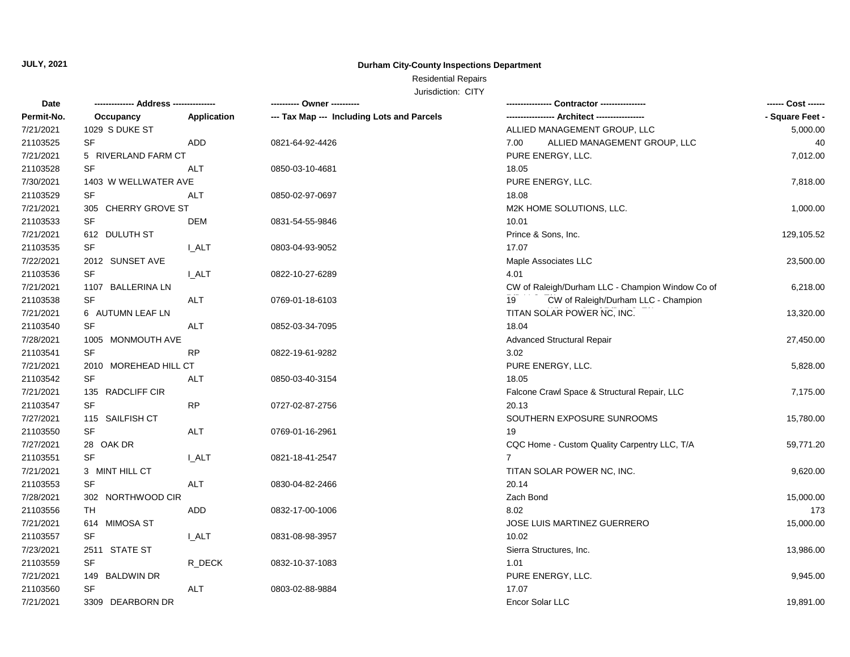## **Durham City-County Inspections Department**

Residential Repairs

| Date                  |                        |              | ---------- Owner ----------                |                                                  |                 |
|-----------------------|------------------------|--------------|--------------------------------------------|--------------------------------------------------|-----------------|
| Permit-No.            | Occupancy              | Application  | --- Tax Map --- Including Lots and Parcels |                                                  | - Square Feet - |
| 7/21/2021             | 1029 S DUKE ST         |              |                                            | ALLIED MANAGEMENT GROUP, LLC                     | 5,000.00        |
| 21103525              | <b>SF</b>              | <b>ADD</b>   | 0821-64-92-4426                            | ALLIED MANAGEMENT GROUP, LLC<br>7.00             | 40              |
| 7/21/2021             | 5 RIVERLAND FARM CT    |              |                                            | PURE ENERGY, LLC.                                | 7,012.00        |
| 21103528              | <b>SF</b>              | <b>ALT</b>   | 0850-03-10-4681                            | 18.05                                            |                 |
| 7/30/2021             | 1403 W WELLWATER AVE   |              |                                            | PURE ENERGY, LLC.                                | 7,818.00        |
| 21103529              | <b>SF</b>              | ALT          | 0850-02-97-0697                            | 18.08                                            |                 |
| 7/21/2021             | CHERRY GROVE ST<br>305 |              |                                            | M2K HOME SOLUTIONS, LLC.                         | 1,000.00        |
| 21103533              | <b>SF</b>              | <b>DEM</b>   | 0831-54-55-9846                            | 10.01                                            |                 |
| 7/21/2021             | 612 DULUTH ST          |              |                                            | Prince & Sons, Inc.                              | 129,105.52      |
| 21103535              | <b>SF</b>              | <b>L_ALT</b> | 0803-04-93-9052                            | 17.07                                            |                 |
| 7/22/2021             | 2012 SUNSET AVE        |              |                                            | Maple Associates LLC                             | 23,500.00       |
| 21103536              | <b>SF</b>              | <b>I_ALT</b> | 0822-10-27-6289                            | 4.01                                             |                 |
| 7/21/2021             | 1107 BALLERINA LN      |              |                                            | CW of Raleigh/Durham LLC - Champion Window Co of | 6,218.00        |
| 21103538              | SF                     | <b>ALT</b>   | 0769-01-18-6103                            | CW of Raleigh/Durham LLC - Champion<br>19        |                 |
| 7/21/2021             | 6 AUTUMN LEAF LN       |              |                                            | TITAN SOLAR POWER NC, INC.                       | 13,320.00       |
| 21103540              | <b>SF</b>              | <b>ALT</b>   | 0852-03-34-7095                            | 18.04                                            |                 |
| 7/28/2021             | 1005 MONMOUTH AVE      |              |                                            | <b>Advanced Structural Repair</b>                | 27,450.00       |
| 21103541              | SF                     | RP           | 0822-19-61-9282                            | 3.02                                             |                 |
| 7/21/2021             | 2010 MOREHEAD HILL CT  |              |                                            | PURE ENERGY, LLC.                                | 5,828.00        |
| 21103542              | <b>SF</b>              | ALT          | 0850-03-40-3154                            | 18.05                                            |                 |
| 7/21/2021             | 135 RADCLIFF CIR       |              |                                            | Falcone Crawl Space & Structural Repair, LLC     | 7,175.00        |
| 21103547              | <b>SF</b>              | <b>RP</b>    | 0727-02-87-2756                            | 20.13                                            |                 |
| 7/27/2021             | 115 SAILFISH CT        |              |                                            | SOUTHERN EXPOSURE SUNROOMS                       | 15,780.00       |
| 21103550              | <b>SF</b>              | <b>ALT</b>   | 0769-01-16-2961                            | 19                                               |                 |
| 7/27/2021             | 28 OAK DR              |              |                                            | CQC Home - Custom Quality Carpentry LLC, T/A     | 59,771.20       |
| 21103551              | <b>SF</b>              | I ALT        | 0821-18-41-2547                            | $\overline{7}$                                   |                 |
| 7/21/2021             | 3 MINT HILL CT         |              |                                            | TITAN SOLAR POWER NC, INC.                       | 9,620.00        |
| 21103553              | <b>SF</b>              | <b>ALT</b>   | 0830-04-82-2466                            | 20.14                                            |                 |
| 7/28/2021             | 302 NORTHWOOD CIR      |              |                                            | Zach Bond                                        | 15,000.00       |
| 21103556              | TH                     | ADD          | 0832-17-00-1006                            | 8.02                                             | 173             |
| 7/21/2021             | 614 MIMOSA ST          |              |                                            | JOSE LUIS MARTINEZ GUERRERO                      | 15,000.00       |
|                       | <b>SF</b>              |              |                                            | 10.02                                            |                 |
| 21103557<br>7/23/2021 |                        | <b>L_ALT</b> | 0831-08-98-3957                            |                                                  |                 |
|                       | 2511 STATE ST          |              |                                            | Sierra Structures, Inc.                          | 13,986.00       |
| 21103559              | <b>SF</b>              | R_DECK       | 0832-10-37-1083                            | 1.01                                             |                 |
| 7/21/2021             | 149 BALDWIN DR         |              |                                            | PURE ENERGY, LLC.                                | 9,945.00        |
| 21103560              | SF                     | <b>ALT</b>   | 0803-02-88-9884                            | 17.07                                            |                 |
| 7/21/2021             | 3309 DEARBORN DR       |              |                                            | Encor Solar LLC                                  | 19,891.00       |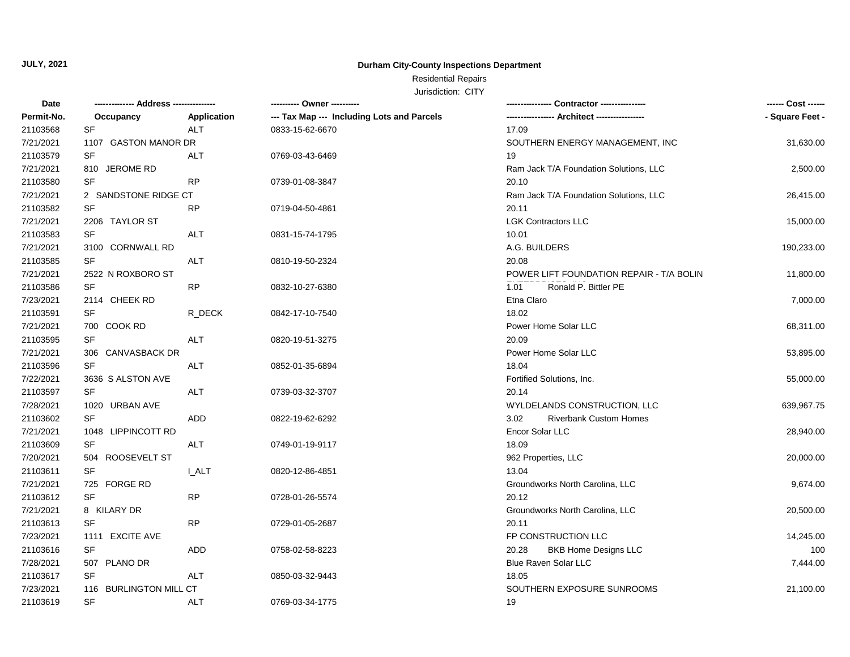## **Durham City-County Inspections Department**

### Residential Repairs

| Date       |                        |             |                                            |                                          | ------ Cost ------ |
|------------|------------------------|-------------|--------------------------------------------|------------------------------------------|--------------------|
| Permit-No. | Occupancy              | Application | --- Tax Map --- Including Lots and Parcels |                                          | - Square Feet -    |
| 21103568   | <b>SF</b>              | <b>ALT</b>  | 0833-15-62-6670                            | 17.09                                    |                    |
| 7/21/2021  | 1107 GASTON MANOR DR   |             |                                            | SOUTHERN ENERGY MANAGEMENT, INC          | 31,630.00          |
| 21103579   | <b>SF</b>              | <b>ALT</b>  | 0769-03-43-6469                            | 19                                       |                    |
| 7/21/2021  | 810 JEROME RD          |             |                                            | Ram Jack T/A Foundation Solutions, LLC   | 2,500.00           |
| 21103580   | <b>SF</b>              | <b>RP</b>   | 0739-01-08-3847                            | 20.10                                    |                    |
| 7/21/2021  | 2 SANDSTONE RIDGE CT   |             |                                            | Ram Jack T/A Foundation Solutions, LLC   | 26,415.00          |
| 21103582   | SF                     | <b>RP</b>   | 0719-04-50-4861                            | 20.11                                    |                    |
| 7/21/2021  | 2206 TAYLOR ST         |             |                                            | <b>LGK Contractors LLC</b>               | 15,000.00          |
| 21103583   | <b>SF</b>              | <b>ALT</b>  | 0831-15-74-1795                            | 10.01                                    |                    |
| 7/21/2021  | 3100 CORNWALL RD       |             |                                            | A.G. BUILDERS                            | 190,233.00         |
| 21103585   | SF                     | <b>ALT</b>  | 0810-19-50-2324                            | 20.08                                    |                    |
| 7/21/2021  | 2522 N ROXBORO ST      |             |                                            | POWER LIFT FOUNDATION REPAIR - T/A BOLIN | 11,800.00          |
| 21103586   | SF                     | RP          | 0832-10-27-6380                            | Ronald P. Bittler PE<br>1.01             |                    |
| 7/23/2021  | 2114 CHEEK RD          |             |                                            | Etna Claro                               | 7,000.00           |
| 21103591   | <b>SF</b>              | R_DECK      | 0842-17-10-7540                            | 18.02                                    |                    |
| 7/21/2021  | 700 COOK RD            |             |                                            | Power Home Solar LLC                     | 68,311.00          |
| 21103595   | SF                     | <b>ALT</b>  | 0820-19-51-3275                            | 20.09                                    |                    |
| 7/21/2021  | 306 CANVASBACK DR      |             |                                            | Power Home Solar LLC                     | 53,895.00          |
| 21103596   | SF                     | <b>ALT</b>  | 0852-01-35-6894                            | 18.04                                    |                    |
| 7/22/2021  | 3636 S ALSTON AVE      |             |                                            | Fortified Solutions, Inc.                | 55,000.00          |
| 21103597   | SF                     | <b>ALT</b>  | 0739-03-32-3707                            | 20.14                                    |                    |
| 7/28/2021  | 1020 URBAN AVE         |             |                                            | WYLDELANDS CONSTRUCTION, LLC             | 639,967.75         |
| 21103602   | SF                     | <b>ADD</b>  | 0822-19-62-6292                            | <b>Riverbank Custom Homes</b><br>3.02    |                    |
| 7/21/2021  | 1048 LIPPINCOTT RD     |             |                                            | Encor Solar LLC                          | 28,940.00          |
| 21103609   | SF                     | <b>ALT</b>  | 0749-01-19-9117                            | 18.09                                    |                    |
| 7/20/2021  | 504 ROOSEVELT ST       |             |                                            | 962 Properties, LLC                      | 20,000.00          |
| 21103611   | <b>SF</b>              | <b>LALT</b> | 0820-12-86-4851                            | 13.04                                    |                    |
| 7/21/2021  | 725 FORGE RD           |             |                                            | Groundworks North Carolina, LLC          | 9,674.00           |
| 21103612   | SF                     | RP          | 0728-01-26-5574                            | 20.12                                    |                    |
| 7/21/2021  | 8 KILARY DR            |             |                                            | Groundworks North Carolina, LLC          | 20,500.00          |
| 21103613   | <b>SF</b>              | RP          | 0729-01-05-2687                            | 20.11                                    |                    |
| 7/23/2021  | 1111 EXCITE AVE        |             |                                            | FP CONSTRUCTION LLC                      | 14,245.00          |
| 21103616   | <b>SF</b>              | ADD         | 0758-02-58-8223                            | <b>BKB Home Designs LLC</b><br>20.28     | 100                |
| 7/28/2021  | 507 PLANO DR           |             |                                            | <b>Blue Raven Solar LLC</b>              | 7,444.00           |
| 21103617   | SF                     | <b>ALT</b>  | 0850-03-32-9443                            | 18.05                                    |                    |
| 7/23/2021  | 116 BURLINGTON MILL CT |             |                                            | SOUTHERN EXPOSURE SUNROOMS               | 21,100.00          |
| 21103619   | <b>SF</b>              | <b>ALT</b>  | 0769-03-34-1775                            | 19                                       |                    |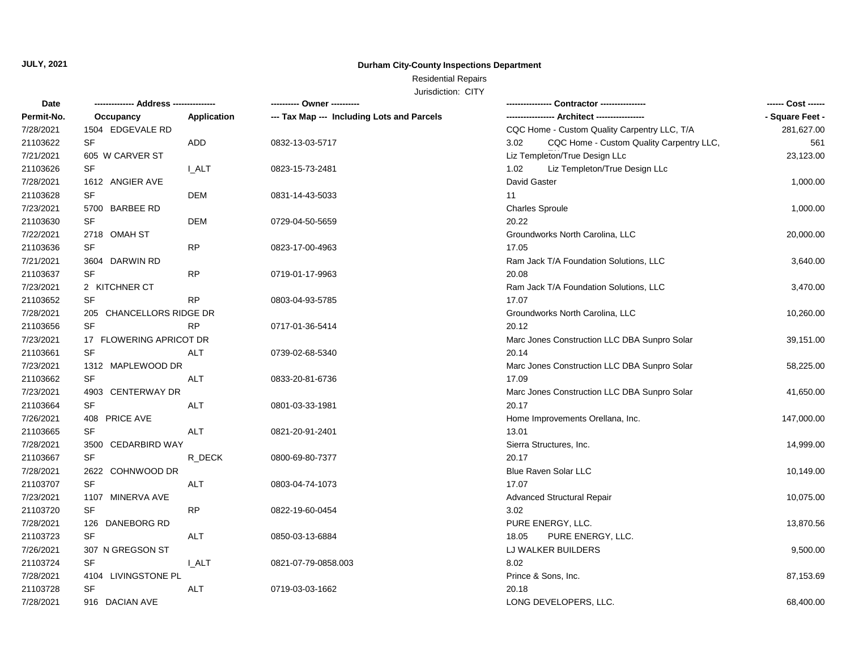## **Durham City-County Inspections Department**

# Residential Repairs

| Date       |                          |              | ---------- Owner ----------                |                                                  | ------ Cost ------ |
|------------|--------------------------|--------------|--------------------------------------------|--------------------------------------------------|--------------------|
| Permit-No. | Occupancy                | Application  | --- Tax Map --- Including Lots and Parcels |                                                  | - Square Feet -    |
| 7/28/2021  | 1504 EDGEVALE RD         |              |                                            | CQC Home - Custom Quality Carpentry LLC, T/A     | 281,627.00         |
| 21103622   | SF                       | ADD          | 0832-13-03-5717                            | CQC Home - Custom Quality Carpentry LLC,<br>3.02 | 561                |
| 7/21/2021  | 605 W CARVER ST          |              |                                            | Liz Templeton/True Design LLc                    | 23,123.00          |
| 21103626   | SF                       | <b>I_ALT</b> | 0823-15-73-2481                            | Liz Templeton/True Design LLc<br>1.02            |                    |
| 7/28/2021  | 1612 ANGIER AVE          |              |                                            | David Gaster                                     | 1,000.00           |
| 21103628   | SF                       | <b>DEM</b>   | 0831-14-43-5033                            | 11                                               |                    |
| 7/23/2021  | 5700 BARBEE RD           |              |                                            | <b>Charles Sproule</b>                           | 1,000.00           |
| 21103630   | SF                       | DEM          | 0729-04-50-5659                            | 20.22                                            |                    |
| 7/22/2021  | 2718 OMAH ST             |              |                                            | Groundworks North Carolina, LLC                  | 20,000.00          |
| 21103636   | SF                       | <b>RP</b>    | 0823-17-00-4963                            | 17.05                                            |                    |
| 7/21/2021  | 3604 DARWIN RD           |              |                                            | Ram Jack T/A Foundation Solutions, LLC           | 3,640.00           |
| 21103637   | SF                       | <b>RP</b>    | 0719-01-17-9963                            | 20.08                                            |                    |
| 7/23/2021  | 2 KITCHNER CT            |              |                                            | Ram Jack T/A Foundation Solutions, LLC           | 3,470.00           |
| 21103652   | <b>SF</b>                | <b>RP</b>    | 0803-04-93-5785                            | 17.07                                            |                    |
| 7/28/2021  | 205 CHANCELLORS RIDGE DR |              |                                            | Groundworks North Carolina, LLC                  | 10,260.00          |
| 21103656   | <b>SF</b>                | <b>RP</b>    | 0717-01-36-5414                            | 20.12                                            |                    |
| 7/23/2021  | 17 FLOWERING APRICOT DR  |              |                                            | Marc Jones Construction LLC DBA Sunpro Solar     | 39,151.00          |
| 21103661   | <b>SF</b>                | <b>ALT</b>   | 0739-02-68-5340                            | 20.14                                            |                    |
| 7/23/2021  | 1312 MAPLEWOOD DR        |              |                                            | Marc Jones Construction LLC DBA Sunpro Solar     | 58,225.00          |
| 21103662   | <b>SF</b>                | <b>ALT</b>   | 0833-20-81-6736                            | 17.09                                            |                    |
| 7/23/2021  | 4903 CENTERWAY DR        |              |                                            | Marc Jones Construction LLC DBA Sunpro Solar     | 41,650.00          |
| 21103664   | SF                       | <b>ALT</b>   | 0801-03-33-1981                            | 20.17                                            |                    |
| 7/26/2021  | 408 PRICE AVE            |              |                                            | Home Improvements Orellana, Inc.                 | 147,000.00         |
| 21103665   | <b>SF</b>                | <b>ALT</b>   | 0821-20-91-2401                            | 13.01                                            |                    |
| 7/28/2021  | 3500 CEDARBIRD WAY       |              |                                            | Sierra Structures, Inc.                          | 14,999.00          |
| 21103667   | SF                       | R_DECK       | 0800-69-80-7377                            | 20.17                                            |                    |
| 7/28/2021  | 2622 COHNWOOD DR         |              |                                            | Blue Raven Solar LLC                             | 10,149.00          |
| 21103707   | <b>SF</b>                | <b>ALT</b>   | 0803-04-74-1073                            | 17.07                                            |                    |
| 7/23/2021  | 1107 MINERVA AVE         |              |                                            | <b>Advanced Structural Repair</b>                | 10,075.00          |
| 21103720   | <b>SF</b>                | <b>RP</b>    | 0822-19-60-0454                            | 3.02                                             |                    |
| 7/28/2021  | 126 DANEBORG RD          |              |                                            | PURE ENERGY, LLC.                                | 13,870.56          |
| 21103723   | <b>SF</b>                | <b>ALT</b>   | 0850-03-13-6884                            | PURE ENERGY, LLC.<br>18.05                       |                    |
| 7/26/2021  | 307 N GREGSON ST         |              |                                            | LJ WALKER BUILDERS                               | 9,500.00           |
| 21103724   | <b>SF</b>                | I ALT        | 0821-07-79-0858.003                        | 8.02                                             |                    |
| 7/28/2021  | 4104 LIVINGSTONE PL      |              |                                            | Prince & Sons, Inc.                              | 87,153.69          |
| 21103728   | SF                       | ALT          | 0719-03-03-1662                            | 20.18                                            |                    |
| 7/28/2021  | 916 DACIAN AVE           |              |                                            | LONG DEVELOPERS, LLC.                            | 68,400.00          |